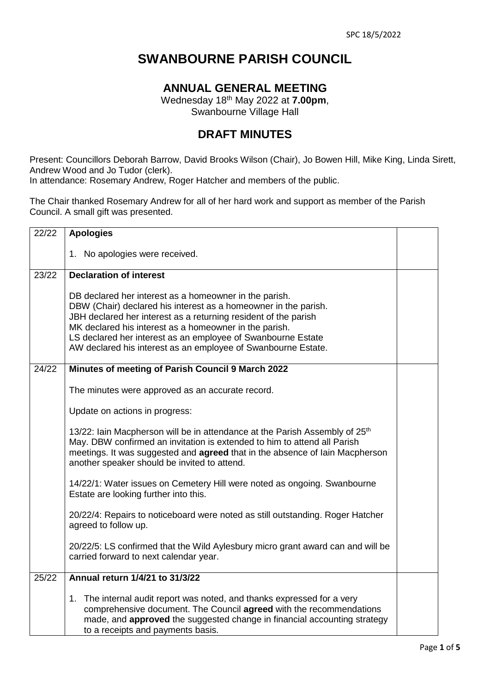## **SWANBOURNE PARISH COUNCIL**

## **ANNUAL GENERAL MEETING**

Wednesday 18th May 2022 at **7.00pm**, Swanbourne Village Hall

## **DRAFT MINUTES**

Present: Councillors Deborah Barrow, David Brooks Wilson (Chair), Jo Bowen Hill, Mike King, Linda Sirett, Andrew Wood and Jo Tudor (clerk).

In attendance: Rosemary Andrew, Roger Hatcher and members of the public.

The Chair thanked Rosemary Andrew for all of her hard work and support as member of the Parish Council. A small gift was presented.

| 22/22 | <b>Apologies</b>                                                                                                                                                                                                                                                                                                                                                                        |  |
|-------|-----------------------------------------------------------------------------------------------------------------------------------------------------------------------------------------------------------------------------------------------------------------------------------------------------------------------------------------------------------------------------------------|--|
|       | 1. No apologies were received.                                                                                                                                                                                                                                                                                                                                                          |  |
| 23/22 | <b>Declaration of interest</b>                                                                                                                                                                                                                                                                                                                                                          |  |
|       | DB declared her interest as a homeowner in the parish.<br>DBW (Chair) declared his interest as a homeowner in the parish.<br>JBH declared her interest as a returning resident of the parish<br>MK declared his interest as a homeowner in the parish.<br>LS declared her interest as an employee of Swanbourne Estate<br>AW declared his interest as an employee of Swanbourne Estate. |  |
| 24/22 | Minutes of meeting of Parish Council 9 March 2022                                                                                                                                                                                                                                                                                                                                       |  |
|       | The minutes were approved as an accurate record.                                                                                                                                                                                                                                                                                                                                        |  |
|       | Update on actions in progress:                                                                                                                                                                                                                                                                                                                                                          |  |
|       | 13/22: Iain Macpherson will be in attendance at the Parish Assembly of 25 <sup>th</sup><br>May. DBW confirmed an invitation is extended to him to attend all Parish<br>meetings. It was suggested and <b>agreed</b> that in the absence of lain Macpherson<br>another speaker should be invited to attend.                                                                              |  |
|       | 14/22/1: Water issues on Cemetery Hill were noted as ongoing. Swanbourne<br>Estate are looking further into this.                                                                                                                                                                                                                                                                       |  |
|       | 20/22/4: Repairs to noticeboard were noted as still outstanding. Roger Hatcher<br>agreed to follow up.                                                                                                                                                                                                                                                                                  |  |
|       | 20/22/5: LS confirmed that the Wild Aylesbury micro grant award can and will be<br>carried forward to next calendar year.                                                                                                                                                                                                                                                               |  |
| 25/22 | Annual return 1/4/21 to 31/3/22                                                                                                                                                                                                                                                                                                                                                         |  |
|       | 1. The internal audit report was noted, and thanks expressed for a very<br>comprehensive document. The Council agreed with the recommendations<br>made, and <b>approved</b> the suggested change in financial accounting strategy<br>to a receipts and payments basis.                                                                                                                  |  |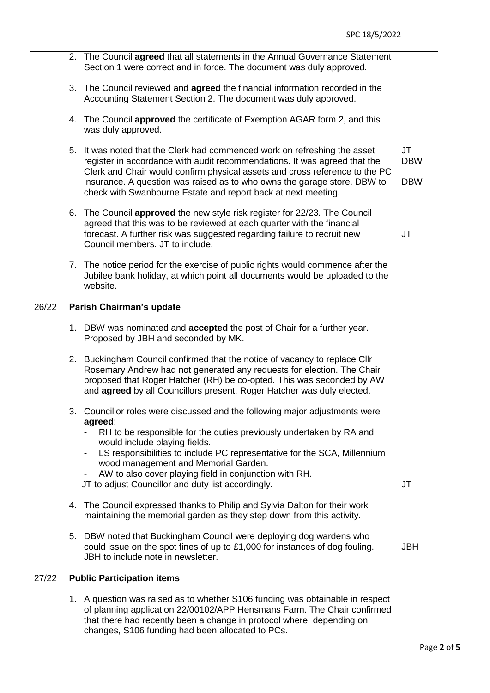|       |    | 2. The Council agreed that all statements in the Annual Governance Statement<br>Section 1 were correct and in force. The document was duly approved.                                                                                                                                                                                                                            |                                |
|-------|----|---------------------------------------------------------------------------------------------------------------------------------------------------------------------------------------------------------------------------------------------------------------------------------------------------------------------------------------------------------------------------------|--------------------------------|
|       |    | 3. The Council reviewed and agreed the financial information recorded in the<br>Accounting Statement Section 2. The document was duly approved.                                                                                                                                                                                                                                 |                                |
|       |    | 4. The Council approved the certificate of Exemption AGAR form 2, and this<br>was duly approved.                                                                                                                                                                                                                                                                                |                                |
|       | 5. | It was noted that the Clerk had commenced work on refreshing the asset<br>register in accordance with audit recommendations. It was agreed that the<br>Clerk and Chair would confirm physical assets and cross reference to the PC<br>insurance. A question was raised as to who owns the garage store. DBW to<br>check with Swanbourne Estate and report back at next meeting. | JT<br><b>DBW</b><br><b>DBW</b> |
|       | 6. | The Council approved the new style risk register for 22/23. The Council<br>agreed that this was to be reviewed at each quarter with the financial<br>forecast. A further risk was suggested regarding failure to recruit new<br>Council members. JT to include.                                                                                                                 | JT                             |
|       |    | 7. The notice period for the exercise of public rights would commence after the<br>Jubilee bank holiday, at which point all documents would be uploaded to the<br>website.                                                                                                                                                                                                      |                                |
| 26/22 |    | Parish Chairman's update                                                                                                                                                                                                                                                                                                                                                        |                                |
|       |    | 1. DBW was nominated and <b>accepted</b> the post of Chair for a further year.<br>Proposed by JBH and seconded by MK.                                                                                                                                                                                                                                                           |                                |
|       |    | 2. Buckingham Council confirmed that the notice of vacancy to replace Cllr<br>Rosemary Andrew had not generated any requests for election. The Chair<br>proposed that Roger Hatcher (RH) be co-opted. This was seconded by AW<br>and agreed by all Councillors present. Roger Hatcher was duly elected.                                                                         |                                |
|       |    | 3. Councillor roles were discussed and the following major adjustments were<br>agreed:<br>RH to be responsible for the duties previously undertaken by RA and<br>would include playing fields.<br>LS responsibilities to include PC representative for the SCA, Millennium<br>wood management and Memorial Garden.                                                              |                                |
|       |    | AW to also cover playing field in conjunction with RH.<br>JT to adjust Councillor and duty list accordingly.                                                                                                                                                                                                                                                                    | JT                             |
|       | 4. | The Council expressed thanks to Philip and Sylvia Dalton for their work<br>maintaining the memorial garden as they step down from this activity.                                                                                                                                                                                                                                |                                |
|       |    | 5. DBW noted that Buckingham Council were deploying dog wardens who<br>could issue on the spot fines of up to £1,000 for instances of dog fouling.<br>JBH to include note in newsletter.                                                                                                                                                                                        | <b>JBH</b>                     |
| 27/22 |    | <b>Public Participation items</b>                                                                                                                                                                                                                                                                                                                                               |                                |
|       |    | 1. A question was raised as to whether S106 funding was obtainable in respect<br>of planning application 22/00102/APP Hensmans Farm. The Chair confirmed<br>that there had recently been a change in protocol where, depending on<br>changes, S106 funding had been allocated to PCs.                                                                                           |                                |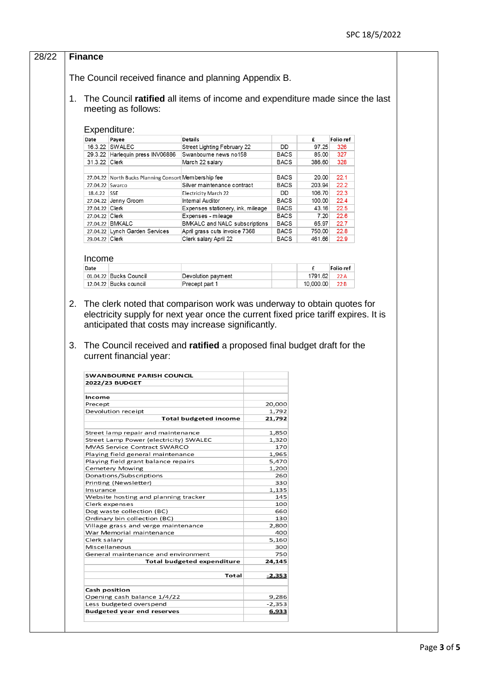| 1.           |                                                                                                     |                                          |                   |                   |                  |                                                                         |  |
|--------------|-----------------------------------------------------------------------------------------------------|------------------------------------------|-------------------|-------------------|------------------|-------------------------------------------------------------------------|--|
|              | The Council received finance and planning Appendix B.                                               |                                          |                   |                   |                  |                                                                         |  |
|              | The Council ratified all items of income and expenditure made since the last<br>meeting as follows: |                                          |                   |                   |                  |                                                                         |  |
| Expenditure: |                                                                                                     |                                          |                   |                   |                  |                                                                         |  |
|              | Date<br>Payee                                                                                       | <b>Details</b>                           |                   |                   | £                | Folio ref                                                               |  |
|              | 16.3.22 SWALEC                                                                                      | Street Lighting February 22              |                   | DD                | 97.25            | 326                                                                     |  |
|              | 29.3.22 Harlequin press INV06886                                                                    | Swanbourne news no158                    |                   | <b>BACS</b>       | 85.00            | 327                                                                     |  |
|              | 31.3.22 Clerk                                                                                       | March 22 salary                          |                   | <b>BACS</b>       | 386.60           | 328                                                                     |  |
|              |                                                                                                     |                                          |                   |                   |                  |                                                                         |  |
|              | 27.04.22 North Bucks Planning Consort Membership fee                                                |                                          |                   | BACS              | 20.00            | 22.1                                                                    |  |
|              | 27.04.22 Swarco<br>18.4.22 SSE                                                                      | Silver maintenance contract              |                   | <b>BACS</b><br>DD | 203.94<br>106.70 | 22.2<br>22.3                                                            |  |
|              | 27.04.22 Jenny Groom                                                                                | Electricity March 22<br>Internal Auditor |                   | <b>BACS</b>       | 100.00           | 22.4                                                                    |  |
|              | 27.04.22 Clerk                                                                                      | Expenses stationery, ink, mileage        |                   | <b>BACS</b>       | 43.16            | 22.5                                                                    |  |
|              | 27.04.22 Clerk                                                                                      | Expenses - mileage                       |                   | <b>BACS</b>       | 7.20             | 22.6                                                                    |  |
|              | 27.04.22 BMKALC                                                                                     | BMKALC and NALC subscriptions            |                   | <b>BACS</b>       | 65.97            | 22.7                                                                    |  |
|              | 27.04.22 Lynch Garden Services                                                                      | April grass cuts invoice 7368            |                   | <b>BACS</b>       | 750.00           | 22.8                                                                    |  |
|              | 29.04.22 Clerk                                                                                      | Clerk salary April 22                    |                   | <b>BACS</b>       | 461.66           | 22.9                                                                    |  |
|              |                                                                                                     |                                          |                   |                   |                  |                                                                         |  |
|              | Income                                                                                              |                                          |                   |                   |                  |                                                                         |  |
|              | Date                                                                                                |                                          |                   |                   | £                | Folio ref                                                               |  |
|              | 01.04.22 Bucks Council                                                                              | Devolution payment                       |                   |                   | 1791.62          | 22A                                                                     |  |
|              | 12.04.22 Bucks council                                                                              | Precept part 1                           |                   |                   | 10,000.00        | 22B                                                                     |  |
|              |                                                                                                     |                                          |                   |                   |                  | The Council received and ratified a proposed final budget draft for the |  |
|              |                                                                                                     |                                          |                   |                   |                  |                                                                         |  |
|              | SWANBOURNE PARISH COUNCIL<br>2022/23 BUDGET                                                         |                                          |                   |                   |                  |                                                                         |  |
|              |                                                                                                     |                                          |                   |                   |                  |                                                                         |  |
|              | Income                                                                                              |                                          |                   |                   |                  |                                                                         |  |
|              | Precept                                                                                             |                                          | 20,000            |                   |                  |                                                                         |  |
|              | Devolution receipt                                                                                  | Total budgeted income                    | 1,792<br>21,792   |                   |                  |                                                                         |  |
|              |                                                                                                     |                                          |                   |                   |                  |                                                                         |  |
|              | Street lamp repair and maintenance                                                                  |                                          | 1,850             |                   |                  |                                                                         |  |
|              | Street Lamp Power (electricity) SWALEC<br>MVAS Service Contract SWARCO                              |                                          | 1,320             | 170               |                  |                                                                         |  |
|              | Playing field general maintenance                                                                   |                                          | 1,965             |                   |                  |                                                                         |  |
|              | Playing field grant balance repairs                                                                 |                                          | 5,470             |                   |                  |                                                                         |  |
|              | <b>Cemetery Mowing</b>                                                                              |                                          | 1,200             |                   |                  |                                                                         |  |
|              | Donations/Subscriptions                                                                             |                                          |                   | 260               |                  |                                                                         |  |
|              | Printing (Newsletter)                                                                               |                                          |                   | 330               |                  |                                                                         |  |
|              | Insurance<br>Website hosting and planning tracker                                                   |                                          | 1,135             | 145               |                  |                                                                         |  |
|              | Clerk expenses                                                                                      |                                          |                   | 100               |                  |                                                                         |  |
|              | Dog waste collection (BC)                                                                           |                                          |                   | 660               |                  |                                                                         |  |
|              | Ordinary bin collection (BC)                                                                        |                                          |                   | 130               |                  |                                                                         |  |
|              | Village grass and verge maintenance                                                                 |                                          | 2,800             |                   |                  |                                                                         |  |
|              | War Memorial maintenance                                                                            |                                          |                   | 400               |                  |                                                                         |  |
|              | Clerk salary                                                                                        |                                          | 5,160             |                   |                  |                                                                         |  |
|              | Miscellaneous<br>General maintenance and environment                                                |                                          |                   | 300<br>750        |                  |                                                                         |  |
|              |                                                                                                     | <b>Total budgeted expenditure</b>        | 24,145            |                   |                  |                                                                         |  |
|              |                                                                                                     | Total                                    | <u>-2,353</u>     |                   |                  |                                                                         |  |
|              |                                                                                                     |                                          |                   |                   |                  |                                                                         |  |
|              | Cash position                                                                                       |                                          |                   |                   |                  |                                                                         |  |
|              | Opening cash balance 1/4/22<br>Less budgeted overspend                                              |                                          | 9,286<br>$-2,353$ |                   |                  |                                                                         |  |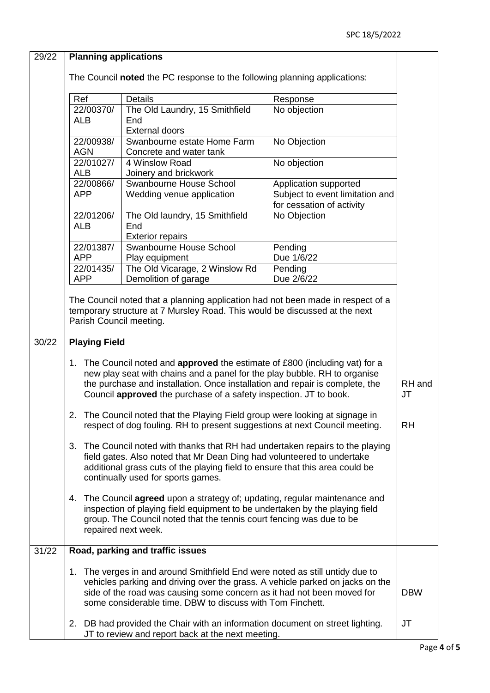| 29/22 | <b>Planning applications</b>                                                                                                                           |                                                                                 |                                 |            |  |  |
|-------|--------------------------------------------------------------------------------------------------------------------------------------------------------|---------------------------------------------------------------------------------|---------------------------------|------------|--|--|
|       |                                                                                                                                                        |                                                                                 |                                 |            |  |  |
|       | The Council noted the PC response to the following planning applications:                                                                              |                                                                                 |                                 |            |  |  |
|       | Ref                                                                                                                                                    | <b>Details</b>                                                                  | Response                        |            |  |  |
|       | 22/00370/                                                                                                                                              | The Old Laundry, 15 Smithfield                                                  | No objection                    |            |  |  |
|       | <b>ALB</b>                                                                                                                                             | End                                                                             |                                 |            |  |  |
|       |                                                                                                                                                        | <b>External doors</b>                                                           |                                 |            |  |  |
|       | 22/00938/                                                                                                                                              | Swanbourne estate Home Farm                                                     | No Objection                    |            |  |  |
|       | <b>AGN</b>                                                                                                                                             | Concrete and water tank                                                         |                                 |            |  |  |
|       | 22/01027/<br><b>ALB</b>                                                                                                                                | 4 Winslow Road<br>Joinery and brickwork                                         | No objection                    |            |  |  |
|       | 22/00866/                                                                                                                                              | Swanbourne House School                                                         | Application supported           |            |  |  |
|       | <b>APP</b>                                                                                                                                             | Wedding venue application                                                       | Subject to event limitation and |            |  |  |
|       |                                                                                                                                                        |                                                                                 | for cessation of activity       |            |  |  |
|       | 22/01206/                                                                                                                                              | The Old laundry, 15 Smithfield                                                  | No Objection                    |            |  |  |
|       | <b>ALB</b>                                                                                                                                             | End                                                                             |                                 |            |  |  |
|       |                                                                                                                                                        | <b>Exterior repairs</b>                                                         |                                 |            |  |  |
|       | 22/01387/<br><b>APP</b>                                                                                                                                | Swanbourne House School                                                         | Pending<br>Due 1/6/22           |            |  |  |
|       | 22/01435/                                                                                                                                              | Play equipment<br>The Old Vicarage, 2 Winslow Rd                                | Pending                         |            |  |  |
|       | <b>APP</b>                                                                                                                                             | Demolition of garage                                                            | Due 2/6/22                      |            |  |  |
|       |                                                                                                                                                        |                                                                                 |                                 |            |  |  |
|       |                                                                                                                                                        | The Council noted that a planning application had not been made in respect of a |                                 |            |  |  |
|       |                                                                                                                                                        | temporary structure at 7 Mursley Road. This would be discussed at the next      |                                 |            |  |  |
|       | Parish Council meeting.                                                                                                                                |                                                                                 |                                 |            |  |  |
| 30/22 | <b>Playing Field</b>                                                                                                                                   |                                                                                 |                                 |            |  |  |
|       |                                                                                                                                                        |                                                                                 |                                 |            |  |  |
|       |                                                                                                                                                        | 1. The Council noted and approved the estimate of £800 (including vat) for a    |                                 |            |  |  |
|       |                                                                                                                                                        | new play seat with chains and a panel for the play bubble. RH to organise       |                                 | RH and     |  |  |
|       | the purchase and installation. Once installation and repair is complete, the<br>Council approved the purchase of a safety inspection. JT to book.      |                                                                                 |                                 |            |  |  |
|       |                                                                                                                                                        |                                                                                 |                                 | <b>JT</b>  |  |  |
|       | The Council noted that the Playing Field group were looking at signage in<br>2.                                                                        |                                                                                 |                                 |            |  |  |
|       | respect of dog fouling. RH to present suggestions at next Council meeting.                                                                             |                                                                                 |                                 |            |  |  |
|       |                                                                                                                                                        |                                                                                 |                                 |            |  |  |
|       | The Council noted with thanks that RH had undertaken repairs to the playing<br>3.                                                                      |                                                                                 |                                 |            |  |  |
|       | field gates. Also noted that Mr Dean Ding had volunteered to undertake<br>additional grass cuts of the playing field to ensure that this area could be |                                                                                 |                                 |            |  |  |
|       |                                                                                                                                                        |                                                                                 |                                 |            |  |  |
|       | continually used for sports games.                                                                                                                     |                                                                                 |                                 |            |  |  |
|       | The Council agreed upon a strategy of; updating, regular maintenance and<br>4.                                                                         |                                                                                 |                                 |            |  |  |
|       |                                                                                                                                                        | inspection of playing field equipment to be undertaken by the playing field     |                                 |            |  |  |
|       |                                                                                                                                                        | group. The Council noted that the tennis court fencing was due to be            |                                 |            |  |  |
|       |                                                                                                                                                        | repaired next week.                                                             |                                 |            |  |  |
| 31/22 |                                                                                                                                                        | Road, parking and traffic issues                                                |                                 |            |  |  |
|       |                                                                                                                                                        |                                                                                 |                                 |            |  |  |
|       | 1.                                                                                                                                                     | The verges in and around Smithfield End were noted as still untidy due to       |                                 |            |  |  |
|       |                                                                                                                                                        | vehicles parking and driving over the grass. A vehicle parked on jacks on the   |                                 |            |  |  |
|       |                                                                                                                                                        | side of the road was causing some concern as it had not been moved for          |                                 | <b>DBW</b> |  |  |
|       | some considerable time. DBW to discuss with Tom Finchett.                                                                                              |                                                                                 |                                 |            |  |  |
|       |                                                                                                                                                        | 2. DB had provided the Chair with an information document on street lighting.   |                                 | JT         |  |  |
|       |                                                                                                                                                        | JT to review and report back at the next meeting.                               |                                 |            |  |  |